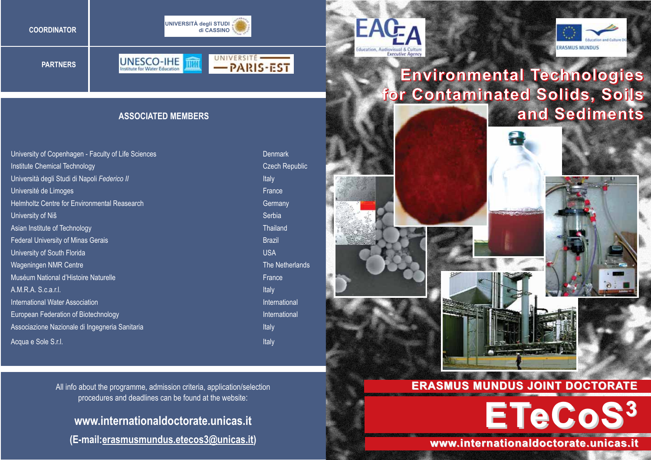





**PARTNERS**





## **Environmental Technologies for Contaminated Solids, Soils and Sediments**

#### **ASSOCIATED MEMBERS**

University of Copenhagen - Faculty of Life Sciences Denmark Denmark **Institute Chemical Technology** Czech Republic Cases and Czech Republic Czech Republic Università degli Studi di Napoli *Federico II* **Internationali che in controlleri in controlleri in terminale di Italy** Université de Limoges **France** Helmholtz Centre for Environmental Reasearch Germany Cermany University of Niš Serbia Asian Institute of Technology Thailand Control of The Thailand Control of Thailand Federal University of Minas Gerais Brazil Brazil Brazil Brazil Brazil Brazil Brazil Brazil Brazil Brazil Brazil University of South Florida **University of South Florida** USA Wageningen NMR Centre The Netherlands NMR Centre The Netherlands Muséum National d'Histoire Naturelle **France** France A.M.R.A. S.c.a.r.l. Italy **International Water Association** International International International International International International European Federation of Biotechnology **International** International International Associazione Nazionale di Ingegneria Sanitaria Italia Italia Italy Italy Italy Italy Acqua e Sole S.r.l. **Italy** and *Sole S.r.l.* Italy and *Sole* S.r.l. Italy and *Italy* and *Italy* and *Italy* and *Italy* and *Italy* and *Italy* and *Italy* and *Italy* and *Italy* and *Italy* and *Italy* and *Italy* an





**ETeCoS3**

**www.internationaldoctorate.unicas.it www.internationaldoctorate.unicas.it**

All info about the programme, admission criteria, application/selection procedures and deadlines can be found at the website:

# **www.internationaldoctorate.unicas.it**

**(E-mail:erasmusmundus.etecos3@unicas.it)**